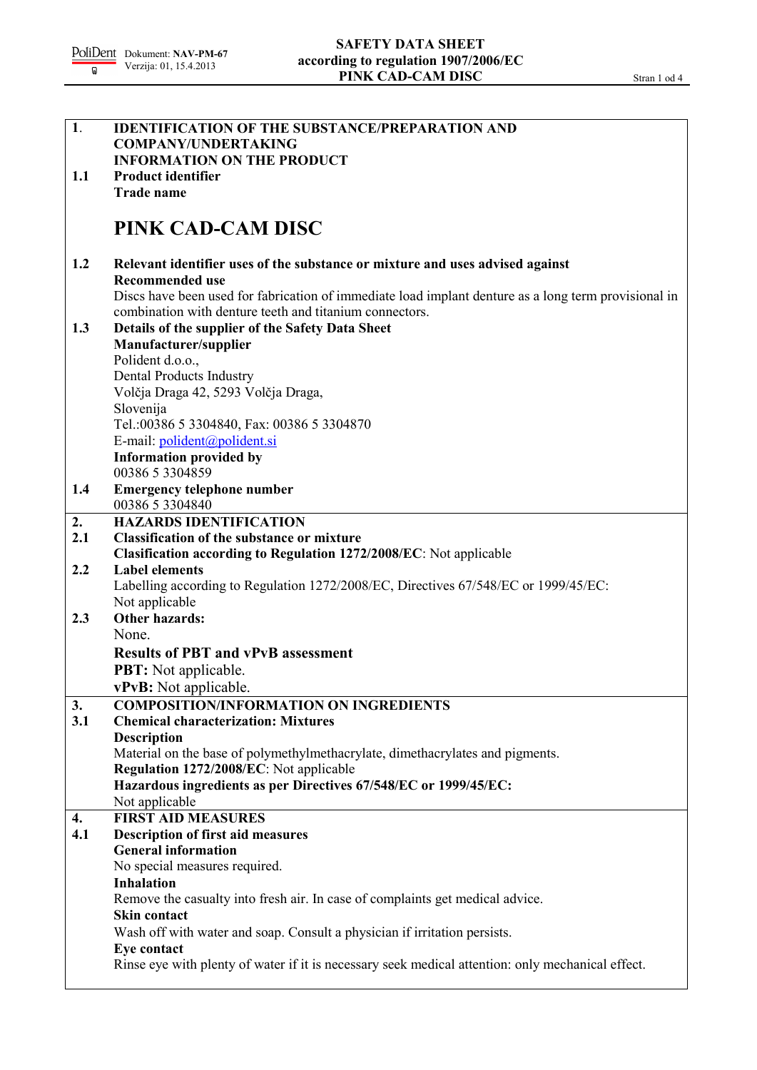| $\overline{1}$ .   | <b>IDENTIFICATION OF THE SUBSTANCE/PREPARATION AND</b>                                               |
|--------------------|------------------------------------------------------------------------------------------------------|
|                    | <b>COMPANY/UNDERTAKING</b>                                                                           |
|                    | <b>INFORMATION ON THE PRODUCT</b>                                                                    |
| 1.1                | <b>Product identifier</b>                                                                            |
|                    | <b>Trade name</b>                                                                                    |
|                    |                                                                                                      |
|                    | PINK CAD-CAM DISC                                                                                    |
| 1.2                | Relevant identifier uses of the substance or mixture and uses advised against                        |
|                    | <b>Recommended use</b>                                                                               |
|                    | Discs have been used for fabrication of immediate load implant denture as a long term provisional in |
|                    | combination with denture teeth and titanium connectors.                                              |
| 1.3                | Details of the supplier of the Safety Data Sheet                                                     |
|                    | Manufacturer/supplier                                                                                |
|                    | Polident d.o.o.,                                                                                     |
|                    |                                                                                                      |
|                    | Dental Products Industry<br>Volčja Draga 42, 5293 Volčja Draga,                                      |
|                    |                                                                                                      |
|                    | Slovenija                                                                                            |
|                    | Tel.:00386 5 3304840, Fax: 00386 5 3304870                                                           |
|                    | E-mail: polident@polident.si                                                                         |
|                    | <b>Information provided by</b>                                                                       |
|                    | 00386 5 3304859                                                                                      |
| 1.4                | <b>Emergency telephone number</b>                                                                    |
|                    | 00386 5 3304840                                                                                      |
| 2.                 | <b>HAZARDS IDENTIFICATION</b>                                                                        |
| 2.1                | <b>Classification of the substance or mixture</b>                                                    |
|                    | Clasification according to Regulation 1272/2008/EC: Not applicable                                   |
| 2.2                | <b>Label elements</b>                                                                                |
|                    | Labelling according to Regulation 1272/2008/EC, Directives 67/548/EC or 1999/45/EC:                  |
|                    | Not applicable                                                                                       |
| 2.3                | <b>Other hazards:</b>                                                                                |
|                    | None.                                                                                                |
|                    | <b>Results of PBT and vPvB assessment</b>                                                            |
|                    | <b>PBT:</b> Not applicable.                                                                          |
|                    | vPvB: Not applicable.                                                                                |
| 3.                 | <b>COMPOSITION/INFORMATION ON INGREDIENTS</b>                                                        |
| 3.1                | <b>Chemical characterization: Mixtures</b>                                                           |
|                    |                                                                                                      |
|                    | <b>Description</b>                                                                                   |
|                    | Material on the base of polymethylmethacrylate, dimethacrylates and pigments.                        |
|                    | Regulation 1272/2008/EC: Not applicable                                                              |
|                    | Hazardous ingredients as per Directives 67/548/EC or 1999/45/EC:                                     |
|                    | Not applicable                                                                                       |
| $\boldsymbol{4}$ . | <b>FIRST AID MEASURES</b>                                                                            |
| 4.1                | <b>Description of first aid measures</b>                                                             |
|                    | <b>General information</b>                                                                           |
|                    | No special measures required.                                                                        |
|                    | <b>Inhalation</b>                                                                                    |
|                    | Remove the casualty into fresh air. In case of complaints get medical advice.                        |
|                    | <b>Skin contact</b>                                                                                  |
|                    | Wash off with water and soap. Consult a physician if irritation persists.                            |
|                    | Eye contact                                                                                          |
|                    | Rinse eye with plenty of water if it is necessary seek medical attention: only mechanical effect.    |
|                    |                                                                                                      |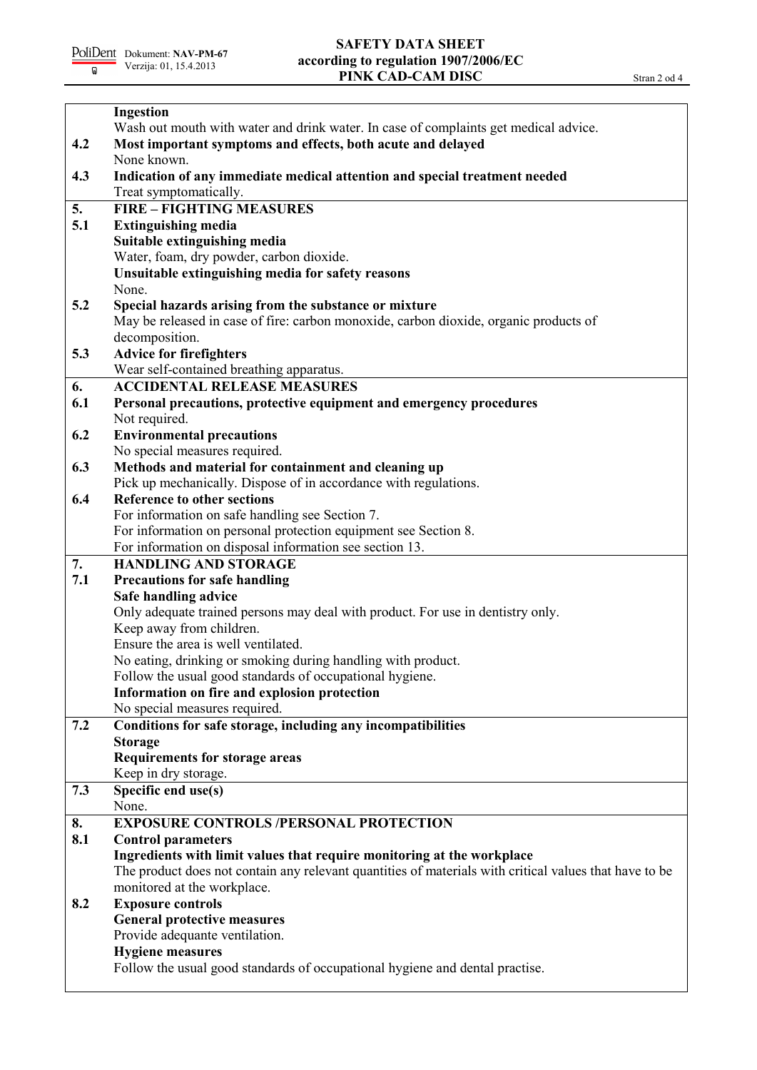|     | Ingestion                                                                                                          |
|-----|--------------------------------------------------------------------------------------------------------------------|
|     | Wash out mouth with water and drink water. In case of complaints get medical advice.                               |
| 4.2 | Most important symptoms and effects, both acute and delayed                                                        |
|     | None known.                                                                                                        |
| 4.3 | Indication of any immediate medical attention and special treatment needed                                         |
|     | Treat symptomatically.                                                                                             |
| 5.  | <b>FIRE - FIGHTING MEASURES</b>                                                                                    |
| 5.1 | <b>Extinguishing media</b>                                                                                         |
|     | Suitable extinguishing media                                                                                       |
|     | Water, foam, dry powder, carbon dioxide.                                                                           |
|     | Unsuitable extinguishing media for safety reasons                                                                  |
|     | None.                                                                                                              |
| 5.2 | Special hazards arising from the substance or mixture                                                              |
|     | May be released in case of fire: carbon monoxide, carbon dioxide, organic products of                              |
|     | decomposition.                                                                                                     |
| 5.3 | <b>Advice for firefighters</b>                                                                                     |
|     | Wear self-contained breathing apparatus.                                                                           |
| 6.  | <b>ACCIDENTAL RELEASE MEASURES</b>                                                                                 |
| 6.1 | Personal precautions, protective equipment and emergency procedures                                                |
|     | Not required.                                                                                                      |
| 6.2 | <b>Environmental precautions</b>                                                                                   |
|     | No special measures required.                                                                                      |
| 6.3 | Methods and material for containment and cleaning up                                                               |
|     | Pick up mechanically. Dispose of in accordance with regulations.                                                   |
| 6.4 | <b>Reference to other sections</b>                                                                                 |
|     | For information on safe handling see Section 7.<br>For information on personal protection equipment see Section 8. |
|     | For information on disposal information see section 13.                                                            |
| 7.  | <b>HANDLING AND STORAGE</b>                                                                                        |
| 7.1 | <b>Precautions for safe handling</b>                                                                               |
|     | Safe handling advice                                                                                               |
|     | Only adequate trained persons may deal with product. For use in dentistry only.                                    |
|     | Keep away from children.                                                                                           |
|     | Ensure the area is well ventilated.                                                                                |
|     | No eating, drinking or smoking during handling with product.                                                       |
|     | Follow the usual good standards of occupational hygiene.                                                           |
|     | Information on fire and explosion protection                                                                       |
|     | No special measures required.                                                                                      |
| 7.2 | Conditions for safe storage, including any incompatibilities                                                       |
|     | <b>Storage</b>                                                                                                     |
|     | <b>Requirements for storage areas</b>                                                                              |
|     | Keep in dry storage.                                                                                               |
| 7.3 | Specific end use(s)                                                                                                |
|     | None.                                                                                                              |
| 8.  | <b>EXPOSURE CONTROLS /PERSONAL PROTECTION</b>                                                                      |
| 8.1 | <b>Control parameters</b>                                                                                          |
|     | Ingredients with limit values that require monitoring at the workplace                                             |
|     | The product does not contain any relevant quantities of materials with critical values that have to be             |
|     | monitored at the workplace.                                                                                        |
| 8.2 | <b>Exposure controls</b>                                                                                           |
|     | <b>General protective measures</b>                                                                                 |
|     | Provide adequante ventilation.                                                                                     |
|     | <b>Hygiene measures</b>                                                                                            |
|     | Follow the usual good standards of occupational hygiene and dental practise.                                       |
|     |                                                                                                                    |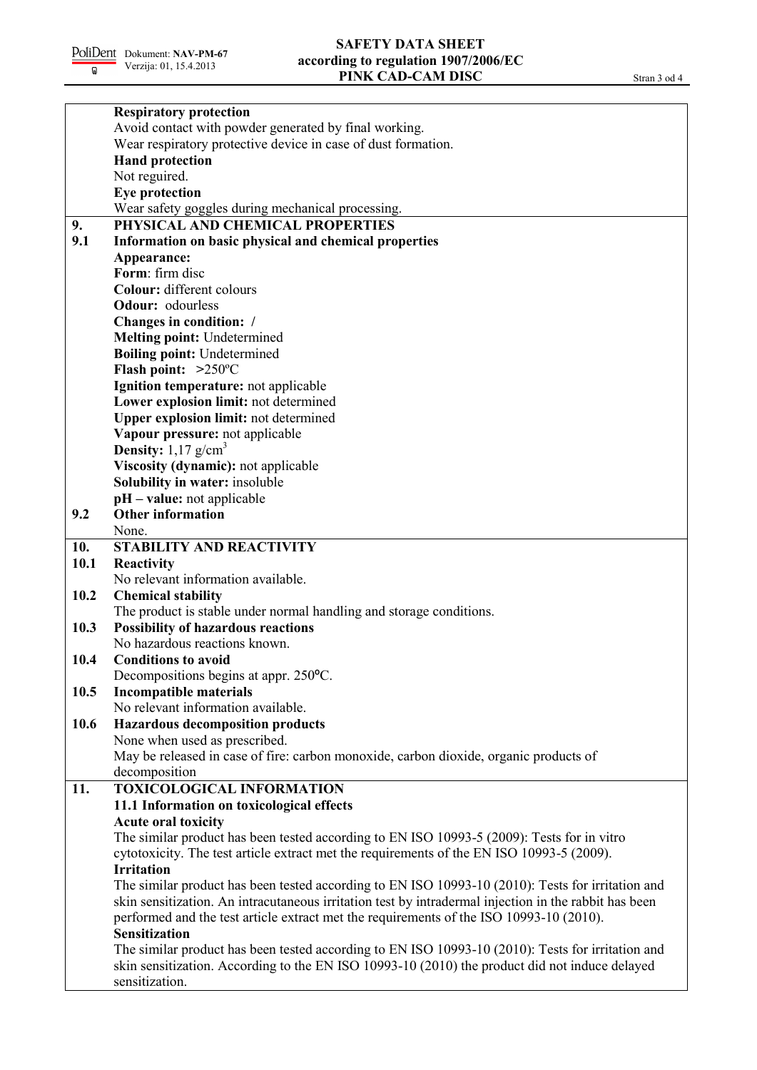|      | <b>Respiratory protection</b>                                                                         |
|------|-------------------------------------------------------------------------------------------------------|
|      | Avoid contact with powder generated by final working.                                                 |
|      | Wear respiratory protective device in case of dust formation.                                         |
|      | <b>Hand protection</b>                                                                                |
|      | Not reguired.                                                                                         |
|      | <b>Eye protection</b>                                                                                 |
|      | Wear safety goggles during mechanical processing.                                                     |
| 9.   | PHYSICAL AND CHEMICAL PROPERTIES                                                                      |
| 9.1  | Information on basic physical and chemical properties                                                 |
|      | Appearance:                                                                                           |
|      | Form: firm disc                                                                                       |
|      | Colour: different colours                                                                             |
|      | Odour: odourless                                                                                      |
|      | Changes in condition: /                                                                               |
|      | <b>Melting point: Undetermined</b>                                                                    |
|      | <b>Boiling point: Undetermined</b>                                                                    |
|      | Flash point: $>250^{\circ}$ C                                                                         |
|      | Ignition temperature: not applicable                                                                  |
|      | Lower explosion limit: not determined                                                                 |
|      | <b>Upper explosion limit:</b> not determined                                                          |
|      | Vapour pressure: not applicable                                                                       |
|      | <b>Density:</b> $1,17$ g/cm <sup>3</sup>                                                              |
|      |                                                                                                       |
|      | Viscosity (dynamic): not applicable                                                                   |
|      | Solubility in water: insoluble                                                                        |
|      | $pH - value$ : not applicable<br><b>Other information</b>                                             |
| 9.2  | None.                                                                                                 |
|      |                                                                                                       |
| 10.  | STABILITY AND REACTIVITY                                                                              |
| 10.1 | Reactivity<br>No relevant information available.                                                      |
|      |                                                                                                       |
| 10.2 | <b>Chemical stability</b>                                                                             |
|      | The product is stable under normal handling and storage conditions.                                   |
| 10.3 | <b>Possibility of hazardous reactions</b>                                                             |
|      | No hazardous reactions known.                                                                         |
| 10.4 | <b>Conditions to avoid</b>                                                                            |
|      | Decompositions begins at appr. 250°C.                                                                 |
| 10.5 | <b>Incompatible materials</b>                                                                         |
|      | No relevant information available.                                                                    |
| 10.6 | <b>Hazardous decomposition products</b>                                                               |
|      | None when used as prescribed.                                                                         |
|      | May be released in case of fire: carbon monoxide, carbon dioxide, organic products of                 |
|      | decomposition                                                                                         |
| 11.  | <b>TOXICOLOGICAL INFORMATION</b>                                                                      |
|      | 11.1 Information on toxicological effects                                                             |
|      | <b>Acute oral toxicity</b>                                                                            |
|      | The similar product has been tested according to EN ISO 10993-5 (2009): Tests for in vitro            |
|      | cytotoxicity. The test article extract met the requirements of the EN ISO 10993-5 (2009).             |
|      | <b>Irritation</b>                                                                                     |
|      | The similar product has been tested according to EN ISO 10993-10 (2010): Tests for irritation and     |
|      | skin sensitization. An intracutaneous irritation test by intradermal injection in the rabbit has been |
|      | performed and the test article extract met the requirements of the ISO 10993-10 (2010).               |
|      | <b>Sensitization</b>                                                                                  |
|      | The similar product has been tested according to EN ISO 10993-10 (2010): Tests for irritation and     |
|      | skin sensitization. According to the EN ISO 10993-10 (2010) the product did not induce delayed        |
|      | sensitization.                                                                                        |